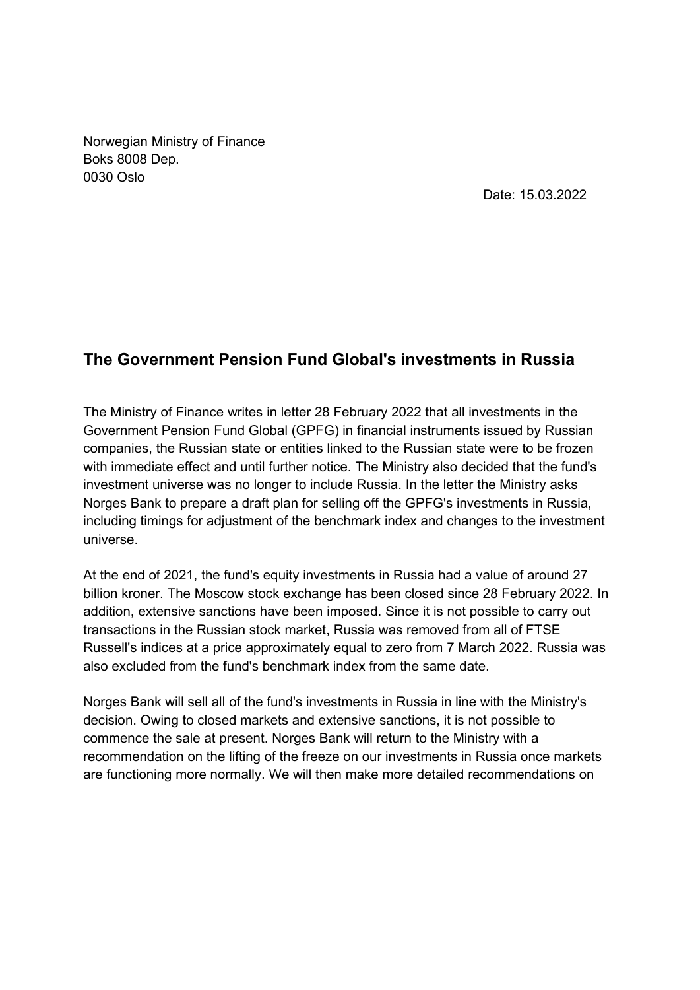Norwegian Ministry of Finance Boks 8008 Dep. 0030 Oslo

Date: 15.03.2022

## **The Government Pension Fund Global's investments in Russia**

The Ministry of Finance writes in letter 28 February 2022 that all investments in the Government Pension Fund Global (GPFG) in financial instruments issued by Russian companies, the Russian state or entities linked to the Russian state were to be frozen with immediate effect and until further notice. The Ministry also decided that the fund's investment universe was no longer to include Russia. In the letter the Ministry asks Norges Bank to prepare a draft plan for selling off the GPFG's investments in Russia, including timings for adjustment of the benchmark index and changes to the investment universe.

At the end of 2021, the fund's equity investments in Russia had a value of around 27 billion kroner. The Moscow stock exchange has been closed since 28 February 2022. In addition, extensive sanctions have been imposed. Since it is not possible to carry out transactions in the Russian stock market, Russia was removed from all of FTSE Russell's indices at a price approximately equal to zero from 7 March 2022. Russia was also excluded from the fund's benchmark index from the same date.

Norges Bank will sell all of the fund's investments in Russia in line with the Ministry's decision. Owing to closed markets and extensive sanctions, it is not possible to commence the sale at present. Norges Bank will return to the Ministry with a recommendation on the lifting of the freeze on our investments in Russia once markets are functioning more normally. We will then make more detailed recommendations on